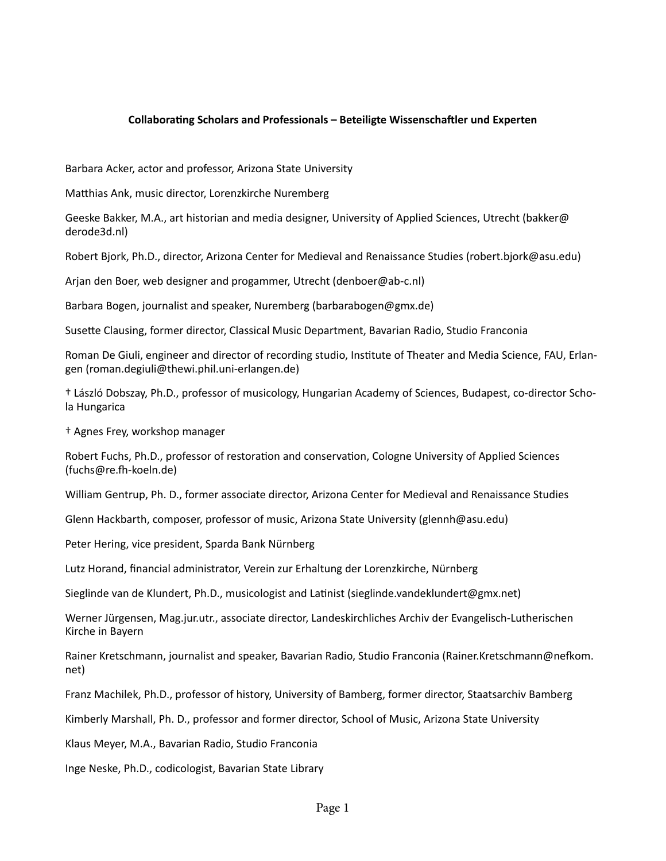## **Collaborating Scholars and Professionals – Beteiligte Wissenschaftler und Experten**

Barbara Acker, actor and professor, Arizona State University

Matthias Ank, music director, Lorenzkirche Nuremberg

Geeske Bakker, M.A., art historian and media designer, University of Applied Sciences, Utrecht (bakker@ derode3d.nl)

Robert Bjork, Ph.D., director, Arizona Center for Medieval and Renaissance Studies (robert.bjork@asu.edu)

Arjan den Boer, web designer and progammer, Utrecht (denboer@ab-c.nl)

Barbara Bogen, journalist and speaker, Nuremberg (barbarabogen@gmx.de)

Susette Clausing, former director, Classical Music Department, Bavarian Radio, Studio Franconia

Roman De Giuli, engineer and director of recording studio, Institute of Theater and Media Science, FAU, Erlangen (roman.degiuli@thewi.phil.uni-erlangen.de)

† László Dobszay, Ph.D., professor of musicology, Hungarian Academy of Sciences, Budapest, co-director Schola Hungarica

† Agnes Frey, workshop manager

Robert Fuchs, Ph.D., professor of restoration and conservation, Cologne University of Applied Sciences (fuchs@re.fh-koeln.de)

William Gentrup, Ph. D., former associate director, Arizona Center for Medieval and Renaissance Studies

Glenn Hackbarth, composer, professor of music, Arizona State University (glennh@asu.edu)

Peter Hering, vice president, Sparda Bank Nürnberg

Lutz Horand, financial administrator, Verein zur Erhaltung der Lorenzkirche, Nürnberg

Sieglinde van de Klundert, Ph.D., musicologist and Latinist (sieglinde.vandeklundert@gmx.net)

Werner Jürgensen, Mag.jur.utr., associate director, Landeskirchliches Archiv der Evangelisch-Lutherischen Kirche in Bayern

Rainer Kretschmann, journalist and speaker, Bavarian Radio, Studio Franconia (Rainer.Kretschmann@nefkom. net)

Franz Machilek, Ph.D., professor of history, University of Bamberg, former director, Staatsarchiv Bamberg

Kimberly Marshall, Ph. D., professor and former director, School of Music, Arizona State University

Klaus Meyer, M.A., Bavarian Radio, Studio Franconia

Inge Neske, Ph.D., codicologist, Bavarian State Library